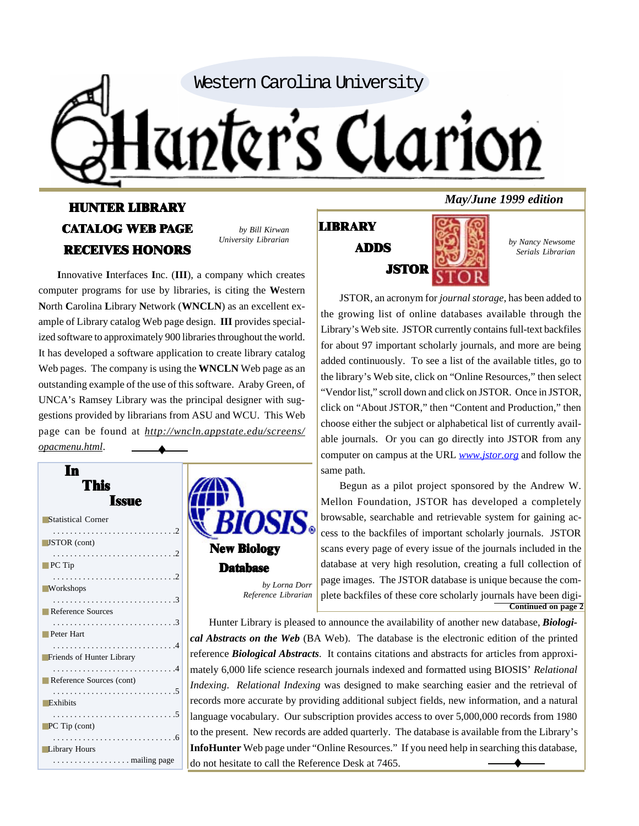

## HUNTER LIBRARY CATALOG WEB PAGE RECEIVES HONORS

*by Bill Kirwan University Librarian*

**I**nnovative **I**nterfaces **I**nc. (**III**), a company which creates computer programs for use by libraries, is citing the **W**estern **N**orth **C**arolina **L**ibrary **N**etwork (**WNCLN**) as an excellent example of Library catalog Web page design. **III** provides specialized software to approximately 900 libraries throughout the world. It has developed a software application to create library catalog Web pages. The company is using the **WNCLN** Web page as an outstanding example of the use of this software. Araby Green, of UNCA's Ramsey Library was the principal designer with suggestions provided by librarians from ASU and WCU. This Web page can be found at *http://wncln.appstate.edu/screens/ opacmenu.html*. ♦

| In<br>This<br><b>Issue</b>   |                                                              |
|------------------------------|--------------------------------------------------------------|
| <b>Statistical Corner</b>    | <i><b>BIOSIS</b></i>                                         |
| $\blacksquare$ JSTOR (cont)  | <b>New Biology</b>                                           |
| $\blacksquare$ PC Tip        | <b>Database</b>                                              |
| <b>Workshops</b>             | by Lorna Dorr<br>Reference Librarian                         |
| Reference Sources            | Hunter Library is pleased                                    |
| Peter Hart                   | cal Abstracts on the Web (B                                  |
| Friends of Hunter Library    | reference Biological Abstrac                                 |
| Reference Sources (cont)     | mately 6,000 life science rese                               |
| $\blacksquare$ Exhibits      | Indexing. Relational Indexin<br>records more accurate by pro |
|                              | language vocabulary. Our su                                  |
| $\blacksquare$ PC Tip (cont) | to the present. New records a                                |
| <b>Library Hours</b>         | <b>InfoHunter</b> Web page under                             |
| . mailing page               | do not hesitate to call the Ref                              |

## LIBRARY ADDS



*by Nancy Newsome Serials Librarian*

JSTOR, an acronym for *journal storage*, has been added to the growing list of online databases available through the Library's Web site. JSTOR currently contains full-text backfiles for about 97 important scholarly journals, and more are being added continuously. To see a list of the available titles, go to the library's Web site, click on "Online Resources," then select "Vendor list," scroll down and click on JSTOR. Once in JSTOR, click on "About JSTOR," then "Content and Production," then choose either the subject or alphabetical list of currently available journals. Or you can go directly into JSTOR from any computer on campus at the URL *www.jstor.org* and follow the same path.

Begun as a pilot project sponsored by the Andrew W. Mellon Foundation, JSTOR has developed a completely browsable, searchable and retrievable system for gaining access to the backfiles of important scholarly journals. JSTOR scans every page of every issue of the journals included in the database at very high resolution, creating a full collection of page images. The JSTOR database is unique because the complete backfiles of these core scholarly journals have been digi-**Continued on page 2**

pleased to announce the availability of another new database, *Biologi*-*Web* (BA Web). The database is the electronic edition of the printed Abstracts. It contains citations and abstracts for articles from approxince research journals indexed and formatted using BIOSIS' *Relational Indexing* was designed to make searching easier and the retrieval of e by providing additional subject fields, new information, and a natural Our subscription provides access to over 5,000,000 records from 1980 ecords are added quarterly. The database is available from the Library's *<u>E</u>* E under "Online Resources." If you need help in searching this database, do not hesitate to call the Reference Desk at 7465.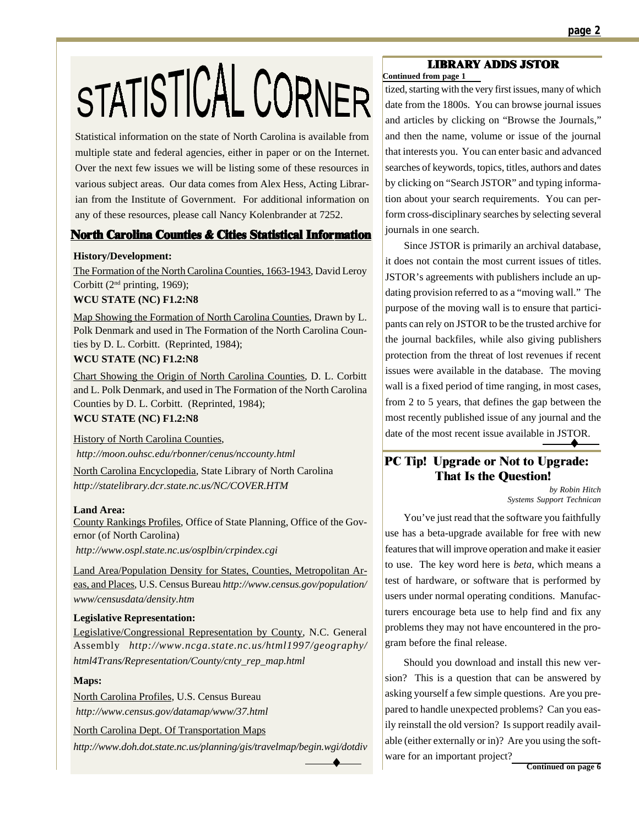# STATISTICAL CORNER

Statistical information on the state of North Carolina is available from multiple state and federal agencies, either in paper or on the Internet. Over the next few issues we will be listing some of these resources in various subject areas. Our data comes from Alex Hess, Acting Librarian from the Institute of Government. For additional information on any of these resources, please call Nancy Kolenbrander at 7252.

#### **North Carolina Counties & Cities Statistical Information**

#### **History/Development:**

The Formation of the North Carolina Counties, 1663-1943, David Leroy Corbitt ( $2<sup>nd</sup>$  printing, 1969);

#### **WCU STATE (NC) F1.2:N8**

Map Showing the Formation of North Carolina Counties, Drawn by L. Polk Denmark and used in The Formation of the North Carolina Counties by D. L. Corbitt. (Reprinted, 1984);

#### **WCU STATE (NC) F1.2:N8**

Chart Showing the Origin of North Carolina Counties, D. L. Corbitt and L. Polk Denmark, and used in The Formation of the North Carolina Counties by D. L. Corbitt. (Reprinted, 1984);

#### **WCU STATE (NC) F1.2:N8**

History of North Carolina Counties, *http://moon.ouhsc.edu/rbonner/cenus/nccounty.html*

North Carolina Encyclopedia, State Library of North Carolina *http://statelibrary.dcr.state.nc.us/NC/COVER.HTM*

#### **Land Area:**

County Rankings Profiles, Office of State Planning, Office of the Governor (of North Carolina)

*http://www.ospl.state.nc.us/osplbin/crpindex.cgi*

Land Area/Population Density for States, Counties, Metropolitan Areas, and Places, U.S. Census Bureau *http://www.census.gov/population/ www/censusdata/density.htm*

#### **Legislative Representation:**

Legislative/Congressional Representation by County, N.C. General Assembly *http://www.ncga.state.nc.us/html1997/geography/ html4Trans/Representation/County/cnty\_rep\_map.html*

#### **Maps:**

North Carolina Profiles, U.S. Census Bureau *http://www.census.gov/datamap/www/37.html*

North Carolina Dept. Of Transportation Maps

*http://www.doh.dot.state.nc.us/planning/gis/travelmap/begin.wgi/dotdiv*

#### **Continued from page 1** LIBRARY ADDS JSTOR

tized, starting with the very first issues, many of which date from the 1800s. You can browse journal issues and articles by clicking on "Browse the Journals," and then the name, volume or issue of the journal that interests you. You can enter basic and advanced searches of keywords, topics, titles, authors and dates by clicking on "Search JSTOR" and typing information about your search requirements. You can perform cross-disciplinary searches by selecting several journals in one search.

Since JSTOR is primarily an archival database, it does not contain the most current issues of titles. JSTOR's agreements with publishers include an updating provision referred to as a "moving wall." The purpose of the moving wall is to ensure that participants can rely on JSTOR to be the trusted archive for the journal backfiles, while also giving publishers protection from the threat of lost revenues if recent issues were available in the database. The moving wall is a fixed period of time ranging, in most cases, from 2 to 5 years, that defines the gap between the most recently published issue of any journal and the date of the most recent issue available in JSTOR. ♦

#### PC Tip! Upgrade or Not to Upgrade: That Is the Question!

*by Robin Hitch Systems Support Technican*

You've just read that the software you faithfully use has a beta-upgrade available for free with new features that will improve operation and make it easier to use. The key word here is *beta*, which means a test of hardware, or software that is performed by users under normal operating conditions. Manufacturers encourage beta use to help find and fix any problems they may not have encountered in the program before the final release.

Should you download and install this new version? This is a question that can be answered by asking yourself a few simple questions. Are you prepared to handle unexpected problems? Can you easily reinstall the old version? Is support readily available (either externally or in)? Are you using the software for an important project?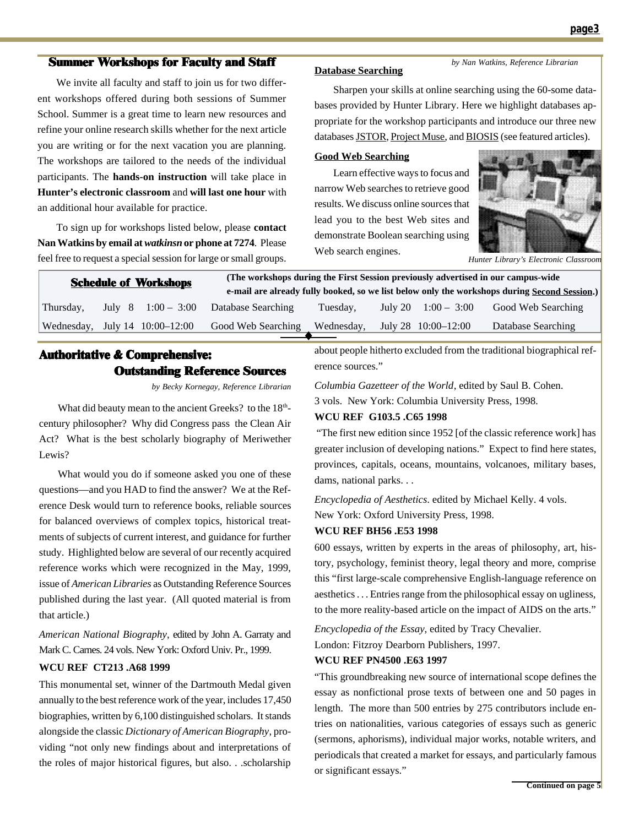#### Summer Workshops for Faculty and Staff

We invite all faculty and staff to join us for two different workshops offered during both sessions of Summer School. Summer is a great time to learn new resources and refine your online research skills whether for the next article you are writing or for the next vacation you are planning. The workshops are tailored to the needs of the individual participants. The **hands-on instruction** will take place in **Hunter's electronic classroom** and **will last one hour** with an additional hour available for practice.

To sign up for workshops listed below, please **contact Nan Watkins by email at** *watkinsn* **or phone at 7274**. Please feel free to request a special session for large or small groups.

#### **Database Searching**

*by Nan Watkins, Reference Librarian*

Sharpen your skills at online searching using the 60-some databases provided by Hunter Library. Here we highlight databases appropriate for the workshop participants and introduce our three new databases JSTOR, Project Muse, and BIOSIS (see featured articles).

#### **Good Web Searching**

Learn effective ways to focus and narrow Web searches to retrieve good results. We discuss online sources that lead you to the best Web sites and demonstrate Boolean searching using Web search engines.



*Hunter Library's Electronic Classroom*

| <b>Schedule of Workshops</b> |  | (The workshops during the First Session previously advertised in our campus-wide<br>e-mail are already fully booked, so we list below only the workshops during Second Session.) |                    |            |  |                       |                    |
|------------------------------|--|----------------------------------------------------------------------------------------------------------------------------------------------------------------------------------|--------------------|------------|--|-----------------------|--------------------|
| Thursday,                    |  | July 8 $1:00 - 3:00$                                                                                                                                                             | Database Searching | Tuesday.   |  | July 20 $1:00 - 3:00$ | Good Web Searching |
|                              |  | Wednesday, July $14 \quad 10:00-12:00$                                                                                                                                           | Good Web Searching | Wednesday, |  | July 28 10:00–12:00   | Database Searching |
|                              |  |                                                                                                                                                                                  |                    |            |  |                       |                    |

### Authoritative & Comprehensive: Outstanding Reference Sources

*by Becky Kornegay, Reference Librarian*

What did beauty mean to the ancient Greeks? to the 18<sup>th</sup>century philosopher? Why did Congress pass the Clean Air Act? What is the best scholarly biography of Meriwether Lewis?

What would you do if someone asked you one of these questions—and you HAD to find the answer? We at the Reference Desk would turn to reference books, reliable sources for balanced overviews of complex topics, historical treatments of subjects of current interest, and guidance for further study. Highlighted below are several of our recently acquired reference works which were recognized in the May, 1999, issue of *American Libraries* as Outstanding Reference Sources published during the last year. (All quoted material is from that article.)

*American National Biography*, edited by John A. Garraty and Mark C. Carnes. 24 vols. New York: Oxford Univ. Pr., 1999.

#### **WCU REF CT213 .A68 1999**

This monumental set, winner of the Dartmouth Medal given annually to the best reference work of the year, includes 17,450 biographies, written by 6,100 distinguished scholars. It stands alongside the classic *Dictionary of American Biography*, providing "not only new findings about and interpretations of the roles of major historical figures, but also. . .scholarship

about people hitherto excluded from the traditional biographical reference sources."

*Columbia Gazetteer of the World*, edited by Saul B. Cohen. 3 vols. New York: Columbia University Press, 1998.

#### **WCU REF G103.5 .C65 1998**

 "The first new edition since 1952 [of the classic reference work] has greater inclusion of developing nations." Expect to find here states, provinces, capitals, oceans, mountains, volcanoes, military bases, dams, national parks. . .

*Encyclopedia of Aesthetics*. edited by Michael Kelly. 4 vols. New York: Oxford University Press, 1998.

#### **WCU REF BH56 .E53 1998**

600 essays, written by experts in the areas of philosophy, art, history, psychology, feminist theory, legal theory and more, comprise this "first large-scale comprehensive English-language reference on aesthetics . . . Entries range from the philosophical essay on ugliness, to the more reality-based article on the impact of AIDS on the arts."

*Encyclopedia of the Essay*, edited by Tracy Chevalier. London: Fitzroy Dearborn Publishers, 1997.

#### **WCU REF PN4500 .E63 1997**

"This groundbreaking new source of international scope defines the essay as nonfictional prose texts of between one and 50 pages in length. The more than 500 entries by 275 contributors include entries on nationalities, various categories of essays such as generic (sermons, aphorisms), individual major works, notable writers, and periodicals that created a market for essays, and particularly famous or significant essays."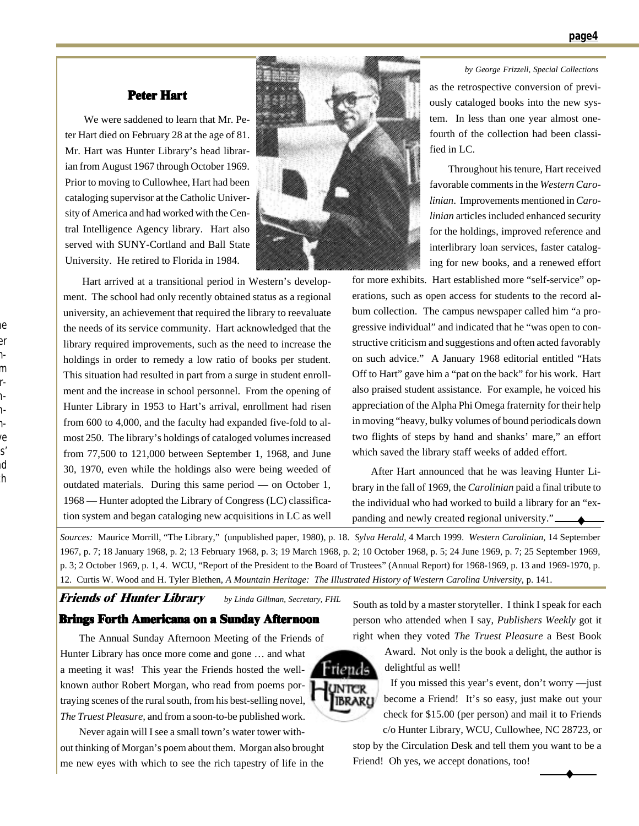#### Peter Hart

We were saddened to learn that Mr. Peter Hart died on February 28 at the age of 81. Mr. Hart was Hunter Library's head librarian from August 1967 through October 1969. Prior to moving to Cullowhee, Hart had been cataloging supervisor at the Catholic University of America and had worked with the Central Intelligence Agency library. Hart also served with SUNY-Cortland and Ball State University. He retired to Florida in 1984.



Hart arrived at a transitional period in Western's development. The school had only recently obtained status as a regional university, an achievement that required the library to reevaluate the needs of its service community. Hart acknowledged that the library required improvements, such as the need to increase the holdings in order to remedy a low ratio of books per student. This situation had resulted in part from a surge in student enrollment and the increase in school personnel. From the opening of Hunter Library in 1953 to Hart's arrival, enrollment had risen from 600 to 4,000, and the faculty had expanded five-fold to almost 250. The library's holdings of cataloged volumes increased from 77,500 to 121,000 between September 1, 1968, and June 30, 1970, even while the holdings also were being weeded of outdated materials. During this same period — on October 1, 1968 — Hunter adopted the Library of Congress (LC) classification system and began cataloging new acquisitions in LC as well

*by George Frizzell, Special Collections* as the retrospective conversion of previously cataloged books into the new system. In less than one year almost onefourth of the collection had been classi-

Throughout his tenure, Hart received favorable comments in the *Western Carolinian*. Improvements mentioned in *Carolinian* articles included enhanced security for the holdings, improved reference and interlibrary loan services, faster cataloging for new books, and a renewed effort

for more exhibits. Hart established more "self-service" operations, such as open access for students to the record album collection. The campus newspaper called him "a progressive individual" and indicated that he "was open to constructive criticism and suggestions and often acted favorably on such advice." A January 1968 editorial entitled "Hats Off to Hart" gave him a "pat on the back" for his work. Hart also praised student assistance. For example, he voiced his appreciation of the Alpha Phi Omega fraternity for their help in moving "heavy, bulky volumes of bound periodicals down two flights of steps by hand and shanks' mare," an effort which saved the library staff weeks of added effort.

fied in LC.

 $\bigstar$ After Hart announced that he was leaving Hunter Library in the fall of 1969, the *Carolinian* paid a final tribute to the individual who had worked to build a library for an "expanding and newly created regional university."

*Sources:* Maurice Morrill, "The Library," (unpublished paper, 1980), p. 18. *Sylva Herald*, 4 March 1999. *Western Carolinian*, 14 September 1967, p. 7; 18 January 1968, p. 2; 13 February 1968, p. 3; 19 March 1968, p. 2; 10 October 1968, p. 5; 24 June 1969, p. 7; 25 September 1969, p. 3; 2 October 1969, p. 1, 4. WCU, "Report of the President to the Board of Trustees" (Annual Report) for 1968-1969, p. 13 and 1969-1970, p. 12. Curtis W. Wood and H. Tyler Blethen, *A Mountain Heritage: The Illustrated History of Western Carolina University*, p. 141.

> UNTER **IBRARU**

Friends of Hunter Library *by Linda Gillman, Secretary, FHL*

#### Brings Forth Americana on a Sunday Afternoon

The Annual Sunday Afternoon Meeting of the Friends of Hunter Library has once more come and gone … and what a meeting it was! This year the Friends hosted the wellknown author Robert Morgan, who read from poems portraying scenes of the rural south, from his best-selling novel, *The Truest Pleasure,* and from a soon-to-be published work.

Never again will I see a small town's water tower without thinking of Morgan's poem about them. Morgan also brought me new eyes with which to see the rich tapestry of life in the

South as told by a master storyteller. I think I speak for each person who attended when I say, *Publishers Weekly* got it right when they voted *The Truest Pleasure* a Best Book

> Award. Not only is the book a delight, the author is delightful as well!

> If you missed this year's event, don't worry —just become a Friend! It's so easy, just make out your check for \$15.00 (per person) and mail it to Friends c/o Hunter Library, WCU, Cullowhee, NC 28723, or

> > ♦

stop by the Circulation Desk and tell them you want to be a Friend! Oh yes, we accept donations, too!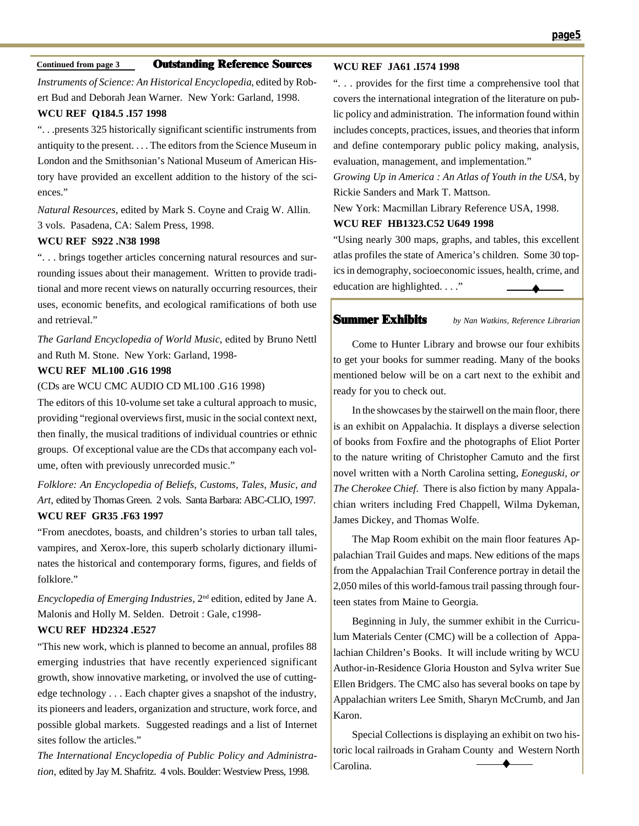#### **Continued from page 3** Outstanding Reference Sources

*Instruments of Science: An Historical Encyclopedia*, edited by Robert Bud and Deborah Jean Warner. New York: Garland, 1998.

#### **WCU REF Q184.5 .I57 1998**

". . .presents 325 historically significant scientific instruments from antiquity to the present. . . . The editors from the Science Museum in London and the Smithsonian's National Museum of American History have provided an excellent addition to the history of the sciences."

*Natural Resources*, edited by Mark S. Coyne and Craig W. Allin. 3 vols. Pasadena, CA: Salem Press, 1998.

#### **WCU REF S922 .N38 1998**

". . . brings together articles concerning natural resources and surrounding issues about their management. Written to provide traditional and more recent views on naturally occurring resources, their uses, economic benefits, and ecological ramifications of both use and retrieval."

*The Garland Encyclopedia of World Music*, edited by Bruno Nettl and Ruth M. Stone. New York: Garland, 1998-

#### **WCU REF ML100 .G16 1998**

(CDs are WCU CMC AUDIO CD ML100 .G16 1998)

The editors of this 10-volume set take a cultural approach to music, providing "regional overviews first, music in the social context next, then finally, the musical traditions of individual countries or ethnic groups. Of exceptional value are the CDs that accompany each volume, often with previously unrecorded music."

*Folklore: An Encyclopedia of Beliefs, Customs, Tales, Music, and Art*, edited by Thomas Green. 2 vols. Santa Barbara: ABC-CLIO, 1997. **WCU REF GR35 .F63 1997**

"From anecdotes, boasts, and children's stories to urban tall tales, vampires, and Xerox-lore, this superb scholarly dictionary illuminates the historical and contemporary forms, figures, and fields of folklore."

*Encyclopedia of Emerging Industries*, 2nd edition, edited by Jane A. Malonis and Holly M. Selden. Detroit : Gale, c1998-

#### **WCU REF HD2324 .E527**

"This new work, which is planned to become an annual, profiles 88 emerging industries that have recently experienced significant growth, show innovative marketing, or involved the use of cuttingedge technology . . . Each chapter gives a snapshot of the industry, its pioneers and leaders, organization and structure, work force, and possible global markets. Suggested readings and a list of Internet sites follow the articles."

*The International Encyclopedia of Public Policy and Administration*, edited by Jay M. Shafritz. 4 vols. Boulder: Westview Press, 1998.

#### **WCU REF JA61 .I574 1998**

". . . provides for the first time a comprehensive tool that covers the international integration of the literature on public policy and administration. The information found within includes concepts, practices, issues, and theories that inform and define contemporary public policy making, analysis, evaluation, management, and implementation."

*Growing Up in America : An Atlas of Youth in the USA*, by Rickie Sanders and Mark T. Mattson.

New York: Macmillan Library Reference USA, 1998.

#### **WCU REF HB1323.C52 U649 1998**

"Using nearly 300 maps, graphs, and tables, this excellent atlas profiles the state of America's children. Some 30 topics in demography, socioeconomic issues, health, crime, and education are highlighted. . . ." ♦

#### Summer Exhibits

*by Nan Watkins, Reference Librarian*

Come to Hunter Library and browse our four exhibits to get your books for summer reading. Many of the books mentioned below will be on a cart next to the exhibit and ready for you to check out.

In the showcases by the stairwell on the main floor, there is an exhibit on Appalachia. It displays a diverse selection of books from Foxfire and the photographs of Eliot Porter to the nature writing of Christopher Camuto and the first novel written with a North Carolina setting, *Eoneguski, or The Cherokee Chief*. There is also fiction by many Appalachian writers including Fred Chappell, Wilma Dykeman, James Dickey, and Thomas Wolfe.

The Map Room exhibit on the main floor features Appalachian Trail Guides and maps. New editions of the maps from the Appalachian Trail Conference portray in detail the 2,050 miles of this world-famous trail passing through fourteen states from Maine to Georgia.

Beginning in July, the summer exhibit in the Curriculum Materials Center (CMC) will be a collection of Appalachian Children's Books. It will include writing by WCU Author-in-Residence Gloria Houston and Sylva writer Sue Ellen Bridgers. The CMC also has several books on tape by Appalachian writers Lee Smith, Sharyn McCrumb, and Jan Karon.

Special Collections is displaying an exhibit on two historic local railroads in Graham County and Western North Carolina. ♦